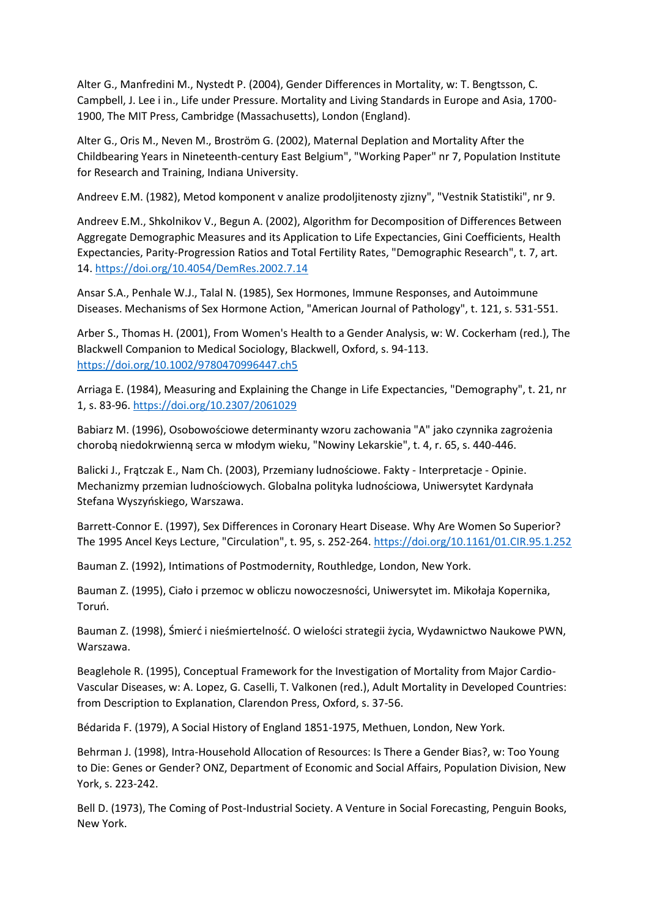Alter G., Manfredini M., Nystedt P. (2004), Gender Differences in Mortality, w: T. Bengtsson, C. Campbell, J. Lee i in., Life under Pressure. Mortality and Living Standards in Europe and Asia, 1700- 1900, The MIT Press, Cambridge (Massachusetts), London (England).

Alter G., Oris M., Neven M., Broström G. (2002), Maternal Deplation and Mortality After the Childbearing Years in Nineteenth-century East Belgium", "Working Paper" nr 7, Population Institute for Research and Training, Indiana University.

Andreev E.M. (1982), Metod komponent v analize prodoljitenosty zjizny", "Vestnik Statistiki", nr 9.

Andreev E.M., Shkolnikov V., Begun A. (2002), Algorithm for Decomposition of Differences Between Aggregate Demographic Measures and its Application to Life Expectancies, Gini Coefficients, Health Expectancies, Parity-Progression Ratios and Total Fertility Rates, "Demographic Research", t. 7, art. 14. <https://doi.org/10.4054/DemRes.2002.7.14>

Ansar S.A., Penhale W.J., Talal N. (1985), Sex Hormones, Immune Responses, and Autoimmune Diseases. Mechanisms of Sex Hormone Action, "American Journal of Pathology", t. 121, s. 531-551.

Arber S., Thomas H. (2001), From Women's Health to a Gender Analysis, w: W. Cockerham (red.), The Blackwell Companion to Medical Sociology, Blackwell, Oxford, s. 94-113. <https://doi.org/10.1002/9780470996447.ch5>

Arriaga E. (1984), Measuring and Explaining the Change in Life Expectancies, "Demography", t. 21, nr 1, s. 83-96. <https://doi.org/10.2307/2061029>

Babiarz M. (1996), Osobowościowe determinanty wzoru zachowania "A" jako czynnika zagrożenia chorobą niedokrwienną serca w młodym wieku, "Nowiny Lekarskie", t. 4, r. 65, s. 440-446.

Balicki J., Frątczak E., Nam Ch. (2003), Przemiany ludnościowe. Fakty - Interpretacje - Opinie. Mechanizmy przemian ludnościowych. Globalna polityka ludnościowa, Uniwersytet Kardynała Stefana Wyszyńskiego, Warszawa.

Barrett-Connor E. (1997), Sex Differences in Coronary Heart Disease. Why Are Women So Superior? The 1995 Ancel Keys Lecture, "Circulation", t. 95, s. 252-264. <https://doi.org/10.1161/01.CIR.95.1.252>

Bauman Z. (1992), Intimations of Postmodernity, Routhledge, London, New York.

Bauman Z. (1995), Ciało i przemoc w obliczu nowoczesności, Uniwersytet im. Mikołaja Kopernika, Toruń.

Bauman Z. (1998), Śmierć i nieśmiertelność. O wielości strategii życia, Wydawnictwo Naukowe PWN, Warszawa.

Beaglehole R. (1995), Conceptual Framework for the Investigation of Mortality from Major Cardio-Vascular Diseases, w: A. Lopez, G. Caselli, T. Valkonen (red.), Adult Mortality in Developed Countries: from Description to Explanation, Clarendon Press, Oxford, s. 37-56.

Bédarida F. (1979), A Social History of England 1851-1975, Methuen, London, New York.

Behrman J. (1998), Intra-Household Allocation of Resources: Is There a Gender Bias?, w: Too Young to Die: Genes or Gender? ONZ, Department of Economic and Social Affairs, Population Division, New York, s. 223-242.

Bell D. (1973), The Coming of Post-Industrial Society. A Venture in Social Forecasting, Penguin Books, New York.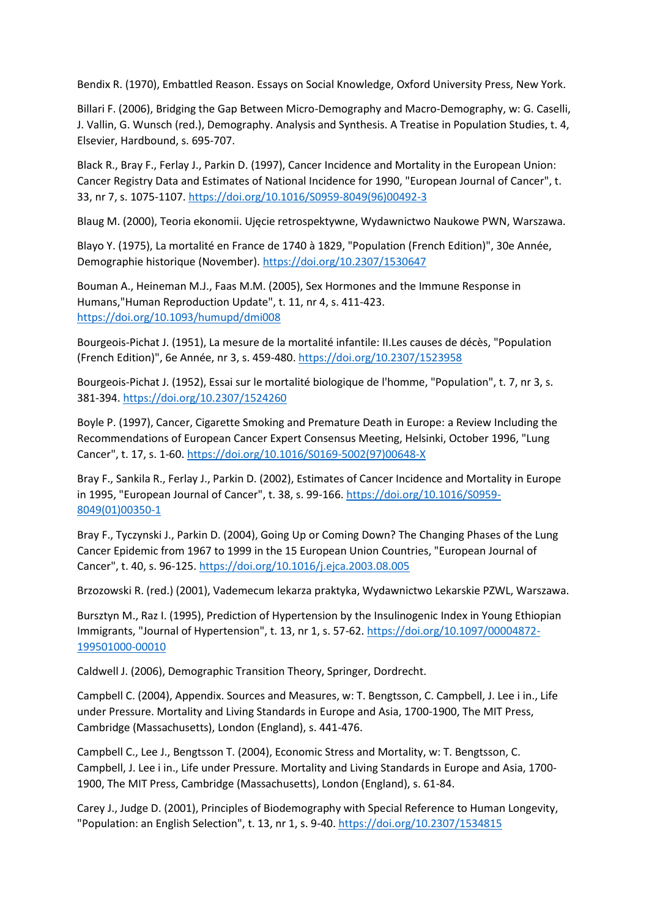Bendix R. (1970), Embattled Reason. Essays on Social Knowledge, Oxford University Press, New York.

Billari F. (2006), Bridging the Gap Between Micro-Demography and Macro-Demography, w: G. Caselli, J. Vallin, G. Wunsch (red.), Demography. Analysis and Synthesis. A Treatise in Population Studies, t. 4, Elsevier, Hardbound, s. 695-707.

Black R., Bray F., Ferlay J., Parkin D. (1997), Cancer Incidence and Mortality in the European Union: Cancer Registry Data and Estimates of National Incidence for 1990, "European Journal of Cancer", t. 33, nr 7, s. 1075-1107. [https://doi.org/10.1016/S0959-8049\(96\)00492-3](https://doi.org/10.1016/S0959-8049(96)00492-3)

Blaug M. (2000), Teoria ekonomii. Ujęcie retrospektywne, Wydawnictwo Naukowe PWN, Warszawa.

Blayo Y. (1975), La mortalité en France de 1740 à 1829, "Population (French Edition)", 30e Année, Demographie historique (November). <https://doi.org/10.2307/1530647>

Bouman A., Heineman M.J., Faas M.M. (2005), Sex Hormones and the Immune Response in Humans,"Human Reproduction Update", t. 11, nr 4, s. 411-423. <https://doi.org/10.1093/humupd/dmi008>

Bourgeois-Pichat J. (1951), La mesure de la mortalité infantile: II.Les causes de décès, "Population (French Edition)", 6e Année, nr 3, s. 459-480. <https://doi.org/10.2307/1523958>

Bourgeois-Pichat J. (1952), Essai sur le mortalité biologique de l'homme, "Population", t. 7, nr 3, s. 381-394. <https://doi.org/10.2307/1524260>

Boyle P. (1997), Cancer, Cigarette Smoking and Premature Death in Europe: a Review Including the Recommendations of European Cancer Expert Consensus Meeting, Helsinki, October 1996, "Lung Cancer", t. 17, s. 1-60. [https://doi.org/10.1016/S0169-5002\(97\)00648-X](https://doi.org/10.1016/S0169-5002(97)00648-X)

Bray F., Sankila R., Ferlay J., Parkin D. (2002), Estimates of Cancer Incidence and Mortality in Europe in 1995, "European Journal of Cancer", t. 38, s. 99-166. [https://doi.org/10.1016/S0959-](https://doi.org/10.1016/S0959-8049(01)00350-1) [8049\(01\)00350-1](https://doi.org/10.1016/S0959-8049(01)00350-1)

Bray F., Tyczynski J., Parkin D. (2004), Going Up or Coming Down? The Changing Phases of the Lung Cancer Epidemic from 1967 to 1999 in the 15 European Union Countries, "European Journal of Cancer", t. 40, s. 96-125. <https://doi.org/10.1016/j.ejca.2003.08.005>

Brzozowski R. (red.) (2001), Vademecum lekarza praktyka, Wydawnictwo Lekarskie PZWL, Warszawa.

Bursztyn M., Raz I. (1995), Prediction of Hypertension by the Insulinogenic Index in Young Ethiopian Immigrants, "Journal of Hypertension", t. 13, nr 1, s. 57-62. [https://doi.org/10.1097/00004872-](https://doi.org/10.1097/00004872-199501000-00010) [199501000-00010](https://doi.org/10.1097/00004872-199501000-00010)

Caldwell J. (2006), Demographic Transition Theory, Springer, Dordrecht.

Campbell C. (2004), Appendix. Sources and Measures, w: T. Bengtsson, C. Campbell, J. Lee i in., Life under Pressure. Mortality and Living Standards in Europe and Asia, 1700-1900, The MIT Press, Cambridge (Massachusetts), London (England), s. 441-476.

Campbell C., Lee J., Bengtsson T. (2004), Economic Stress and Mortality, w: T. Bengtsson, C. Campbell, J. Lee i in., Life under Pressure. Mortality and Living Standards in Europe and Asia, 1700- 1900, The MIT Press, Cambridge (Massachusetts), London (England), s. 61-84.

Carey J., Judge D. (2001), Principles of Biodemography with Special Reference to Human Longevity, "Population: an English Selection", t. 13, nr 1, s. 9-40. <https://doi.org/10.2307/1534815>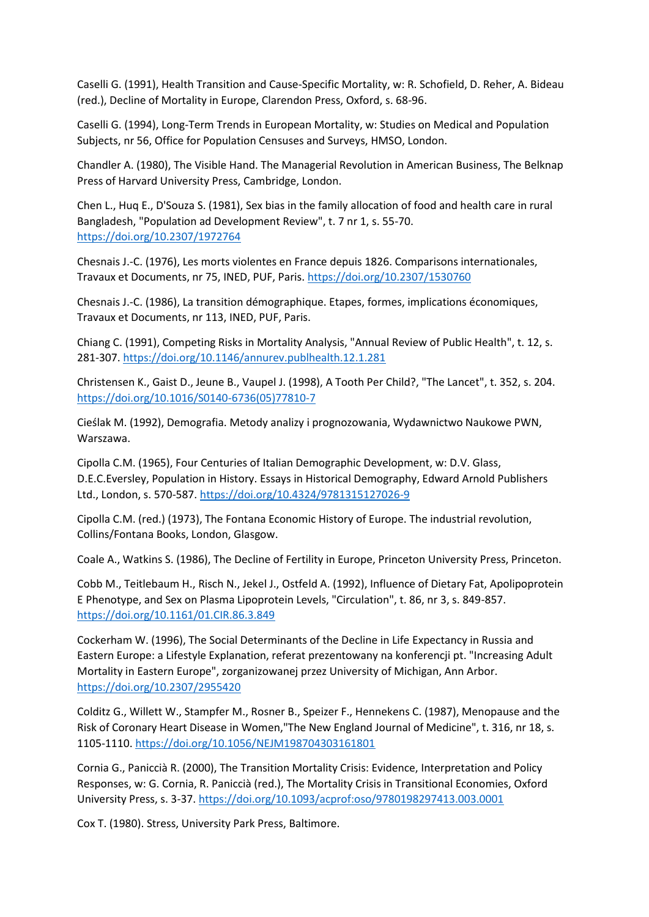Caselli G. (1991), Health Transition and Cause-Specific Mortality, w: R. Schofield, D. Reher, A. Bideau (red.), Decline of Mortality in Europe, Clarendon Press, Oxford, s. 68-96.

Caselli G. (1994), Long-Term Trends in European Mortality, w: Studies on Medical and Population Subjects, nr 56, Office for Population Censuses and Surveys, HMSO, London.

Chandler A. (1980), The Visible Hand. The Managerial Revolution in American Business, The Belknap Press of Harvard University Press, Cambridge, London.

Chen L., Huq E., D'Souza S. (1981), Sex bias in the family allocation of food and health care in rural Bangladesh, "Population ad Development Review", t. 7 nr 1, s. 55-70. <https://doi.org/10.2307/1972764>

Chesnais J.-C. (1976), Les morts violentes en France depuis 1826. Comparisons internationales, Travaux et Documents, nr 75, INED, PUF, Paris. <https://doi.org/10.2307/1530760>

Chesnais J.-C. (1986), La transition démographique. Etapes, formes, implications économiques, Travaux et Documents, nr 113, INED, PUF, Paris.

Chiang C. (1991), Competing Risks in Mortality Analysis, "Annual Review of Public Health", t. 12, s. 281-307. <https://doi.org/10.1146/annurev.publhealth.12.1.281>

Christensen K., Gaist D., Jeune B., Vaupel J. (1998), A Tooth Per Child?, "The Lancet", t. 352, s. 204. [https://doi.org/10.1016/S0140-6736\(05\)77810-7](https://doi.org/10.1016/S0140-6736(05)77810-7)

Cieślak M. (1992), Demografia. Metody analizy i prognozowania, Wydawnictwo Naukowe PWN, Warszawa.

Cipolla C.M. (1965), Four Centuries of Italian Demographic Development, w: D.V. Glass, D.E.C.Eversley, Population in History. Essays in Historical Demography, Edward Arnold Publishers Ltd., London, s. 570-587. <https://doi.org/10.4324/9781315127026-9>

Cipolla C.M. (red.) (1973), The Fontana Economic History of Europe. The industrial revolution, Collins/Fontana Books, London, Glasgow.

Coale A., Watkins S. (1986), The Decline of Fertility in Europe, Princeton University Press, Princeton.

Cobb M., Teitlebaum H., Risch N., Jekel J., Ostfeld A. (1992), Influence of Dietary Fat, Apolipoprotein E Phenotype, and Sex on Plasma Lipoprotein Levels, "Circulation", t. 86, nr 3, s. 849-857. <https://doi.org/10.1161/01.CIR.86.3.849>

Cockerham W. (1996), The Social Determinants of the Decline in Life Expectancy in Russia and Eastern Europe: a Lifestyle Explanation, referat prezentowany na konferencji pt. "Increasing Adult Mortality in Eastern Europe", zorganizowanej przez University of Michigan, Ann Arbor. <https://doi.org/10.2307/2955420>

Colditz G., Willett W., Stampfer M., Rosner B., Speizer F., Hennekens C. (1987), Menopause and the Risk of Coronary Heart Disease in Women,"The New England Journal of Medicine", t. 316, nr 18, s. 1105-1110. <https://doi.org/10.1056/NEJM198704303161801>

Cornia G., Paniccià R. (2000), The Transition Mortality Crisis: Evidence, Interpretation and Policy Responses, w: G. Cornia, R. Paniccià (red.), The Mortality Crisis in Transitional Economies, Oxford University Press, s. 3-37. <https://doi.org/10.1093/acprof:oso/9780198297413.003.0001>

Cox T. (1980). Stress, University Park Press, Baltimore.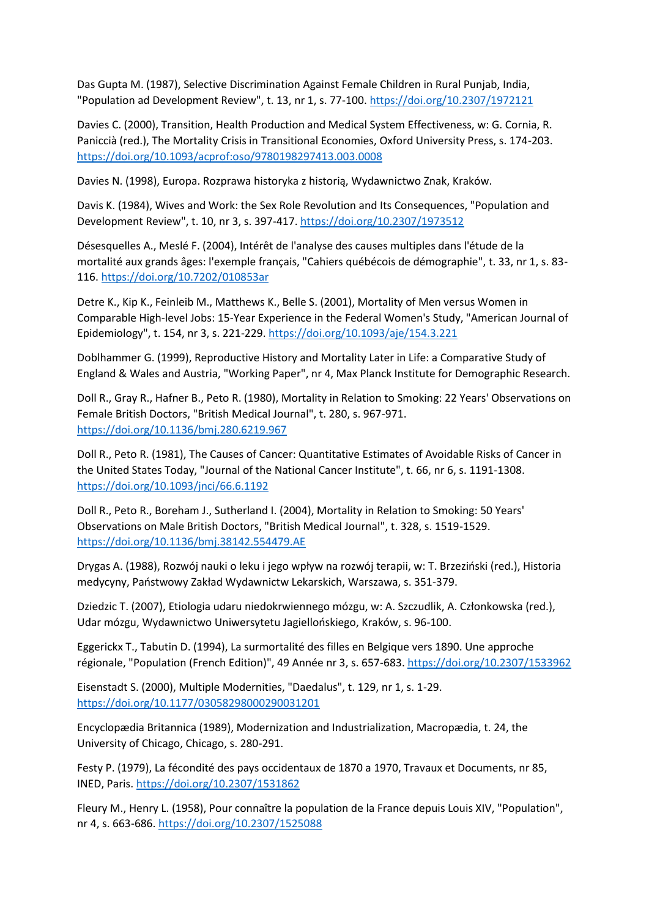Das Gupta M. (1987), Selective Discrimination Against Female Children in Rural Punjab, India, "Population ad Development Review", t. 13, nr 1, s. 77-100. <https://doi.org/10.2307/1972121>

Davies C. (2000), Transition, Health Production and Medical System Effectiveness, w: G. Cornia, R. Paniccià (red.), The Mortality Crisis in Transitional Economies, Oxford University Press, s. 174-203. <https://doi.org/10.1093/acprof:oso/9780198297413.003.0008>

Davies N. (1998), Europa. Rozprawa historyka z historią, Wydawnictwo Znak, Kraków.

Davis K. (1984), Wives and Work: the Sex Role Revolution and Its Consequences, "Population and Development Review", t. 10, nr 3, s. 397-417. <https://doi.org/10.2307/1973512>

Désesquelles A., Meslé F. (2004), Intérêt de l'analyse des causes multiples dans l'étude de la mortalité aux grands âges: l'exemple français, "Cahiers québécois de démographie", t. 33, nr 1, s. 83- 116. <https://doi.org/10.7202/010853ar>

Detre K., Kip K., Feinleib M., Matthews K., Belle S. (2001), Mortality of Men versus Women in Comparable High-level Jobs: 15-Year Experience in the Federal Women's Study, "American Journal of Epidemiology", t. 154, nr 3, s. 221-229. <https://doi.org/10.1093/aje/154.3.221>

Doblhammer G. (1999), Reproductive History and Mortality Later in Life: a Comparative Study of England & Wales and Austria, "Working Paper", nr 4, Max Planck Institute for Demographic Research.

Doll R., Gray R., Hafner B., Peto R. (1980), Mortality in Relation to Smoking: 22 Years' Observations on Female British Doctors, "British Medical Journal", t. 280, s. 967-971. <https://doi.org/10.1136/bmj.280.6219.967>

Doll R., Peto R. (1981), The Causes of Cancer: Quantitative Estimates of Avoidable Risks of Cancer in the United States Today, "Journal of the National Cancer Institute", t. 66, nr 6, s. 1191-1308. <https://doi.org/10.1093/jnci/66.6.1192>

Doll R., Peto R., Boreham J., Sutherland I. (2004), Mortality in Relation to Smoking: 50 Years' Observations on Male British Doctors, "British Medical Journal", t. 328, s. 1519-1529. <https://doi.org/10.1136/bmj.38142.554479.AE>

Drygas A. (1988), Rozwój nauki o leku i jego wpływ na rozwój terapii, w: T. Brzeziński (red.), Historia medycyny, Państwowy Zakład Wydawnictw Lekarskich, Warszawa, s. 351-379.

Dziedzic T. (2007), Etiologia udaru niedokrwiennego mózgu, w: A. Szczudlik, A. Członkowska (red.), Udar mózgu, Wydawnictwo Uniwersytetu Jagiellońskiego, Kraków, s. 96-100.

Eggerickx T., Tabutin D. (1994), La surmortalité des filles en Belgique vers 1890. Une approche régionale, "Population (French Edition)", 49 Année nr 3, s. 657-683. <https://doi.org/10.2307/1533962>

Eisenstadt S. (2000), Multiple Modernities, "Daedalus", t. 129, nr 1, s. 1-29. <https://doi.org/10.1177/03058298000290031201>

Encyclopædia Britannica (1989), Modernization and Industrialization, Macropædia, t. 24, the University of Chicago, Chicago, s. 280-291.

Festy P. (1979), La fécondité des pays occidentaux de 1870 a 1970, Travaux et Documents, nr 85, INED, Paris. <https://doi.org/10.2307/1531862>

Fleury M., Henry L. (1958), Pour connaître la population de la France depuis Louis XIV, "Population", nr 4, s. 663-686. <https://doi.org/10.2307/1525088>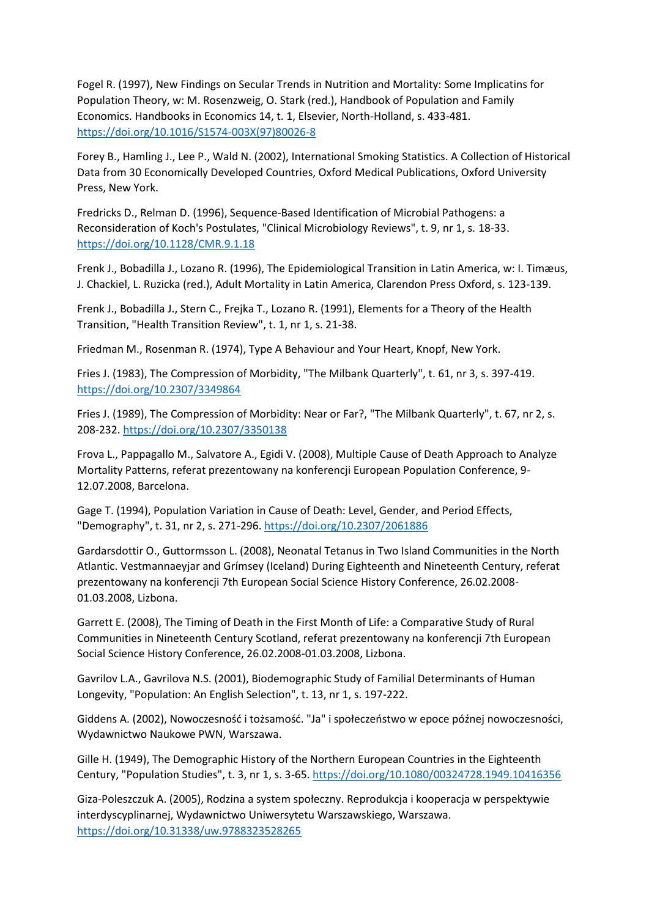Fogel R. (1997), New Findings on Secular Trends in Nutrition and Mortality: Some Implicatins for Population Theory, w: M. Rosenzweig, O. Stark (red.), Handbook of Population and Family Economics. Handbooks in Economics 14, t. 1, Elsevier, North-Holland, s. 433-481. [https://doi.org/10.1016/S1574-003X\(97\)80026-8](https://doi.org/10.1016/S1574-003X(97)80026-8)

Forey B., Hamling J., Lee P., Wald N. (2002), International Smoking Statistics. A Collection of Historical Data from 30 Economically Developed Countries, Oxford Medical Publications, Oxford University Press, New York.

Fredricks D., Relman D. (1996), Sequence-Based Identification of Microbial Pathogens: a Reconsideration of Koch's Postulates, "Clinical Microbiology Reviews", t. 9, nr 1, s. 18-33. <https://doi.org/10.1128/CMR.9.1.18>

Frenk J., Bobadilla J., Lozano R. (1996), The Epidemiological Transition in Latin America, w: I. Timæus, J. Chackiel, L. Ruzicka (red.), Adult Mortality in Latin America, Clarendon Press Oxford, s. 123-139.

Frenk J., Bobadilla J., Stern C., Frejka T., Lozano R. (1991), Elements for a Theory of the Health Transition, "Health Transition Review", t. 1, nr 1, s. 21-38.

Friedman M., Rosenman R. (1974), Type A Behaviour and Your Heart, Knopf, New York.

Fries J. (1983), The Compression of Morbidity, "The Milbank Quarterly", t. 61, nr 3, s. 397-419. <https://doi.org/10.2307/3349864>

Fries J. (1989), The Compression of Morbidity: Near or Far?, "The Milbank Quarterly", t. 67, nr 2, s. 208-232. <https://doi.org/10.2307/3350138>

Frova L., Pappagallo M., Salvatore A., Egidi V. (2008), Multiple Cause of Death Approach to Analyze Mortality Patterns, referat prezentowany na konferencji European Population Conference, 9- 12.07.2008, Barcelona.

Gage T. (1994), Population Variation in Cause of Death: Level, Gender, and Period Effects, "Demography", t. 31, nr 2, s. 271-296. <https://doi.org/10.2307/2061886>

Gardarsdottir O., Guttormsson L. (2008), Neonatal Tetanus in Two Island Communities in the North Atlantic. Vestmannaeyjar and Grímsey (Iceland) During Eighteenth and Nineteenth Century, referat prezentowany na konferencji 7th European Social Science History Conference, 26.02.2008- 01.03.2008, Lizbona.

Garrett E. (2008), The Timing of Death in the First Month of Life: a Comparative Study of Rural Communities in Nineteenth Century Scotland, referat prezentowany na konferencji 7th European Social Science History Conference, 26.02.2008-01.03.2008, Lizbona.

Gavrilov L.A., Gavrilova N.S. (2001), Biodemographic Study of Familial Determinants of Human Longevity, "Population: An English Selection", t. 13, nr 1, s. 197-222.

Giddens A. (2002), Nowoczesność i tożsamość. "Ja" i społeczeństwo w epoce późnej nowoczesności, Wydawnictwo Naukowe PWN, Warszawa.

Gille H. (1949), The Demographic History of the Northern European Countries in the Eighteenth Century, "Population Studies", t. 3, nr 1, s. 3-65. <https://doi.org/10.1080/00324728.1949.10416356>

Giza-Poleszczuk A. (2005), Rodzina a system społeczny. Reprodukcja i kooperacja w perspektywie interdyscyplinarnej, Wydawnictwo Uniwersytetu Warszawskiego, Warszawa. <https://doi.org/10.31338/uw.9788323528265>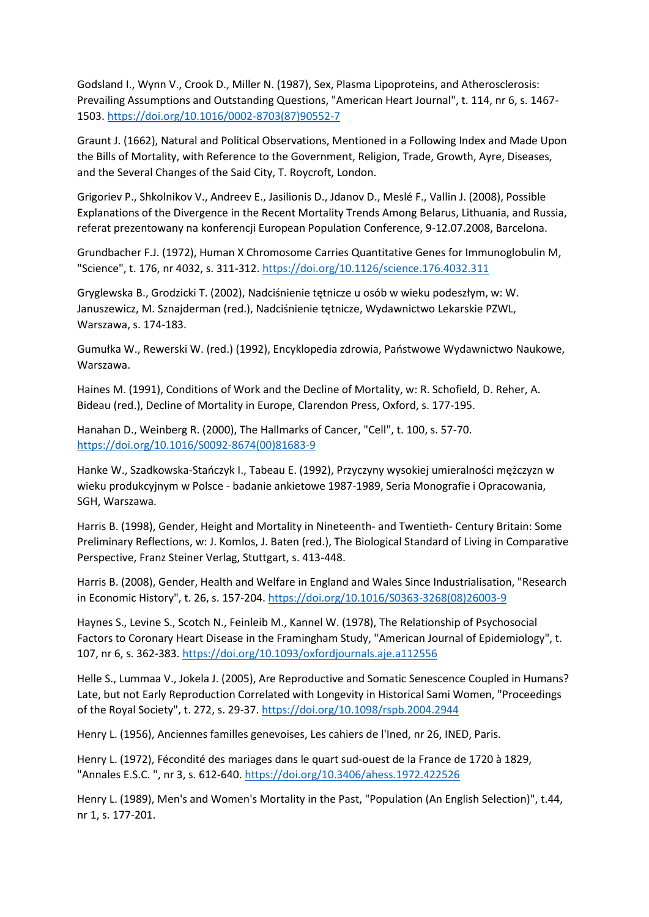Godsland I., Wynn V., Crook D., Miller N. (1987), Sex, Plasma Lipoproteins, and Atherosclerosis: Prevailing Assumptions and Outstanding Questions, "American Heart Journal", t. 114, nr 6, s. 1467- 1503. [https://doi.org/10.1016/0002-8703\(87\)90552-7](https://doi.org/10.1016/0002-8703(87)90552-7)

Graunt J. (1662), Natural and Political Observations, Mentioned in a Following Index and Made Upon the Bills of Mortality, with Reference to the Government, Religion, Trade, Growth, Ayre, Diseases, and the Several Changes of the Said City, T. Roycroft, London.

Grigoriev P., Shkolnikov V., Andreev E., Jasilionis D., Jdanov D., Meslé F., Vallin J. (2008), Possible Explanations of the Divergence in the Recent Mortality Trends Among Belarus, Lithuania, and Russia, referat prezentowany na konferencji European Population Conference, 9-12.07.2008, Barcelona.

Grundbacher F.J. (1972), Human X Chromosome Carries Quantitative Genes for Immunoglobulin M, "Science", t. 176, nr 4032, s. 311-312. <https://doi.org/10.1126/science.176.4032.311>

Gryglewska B., Grodzicki T. (2002), Nadciśnienie tętnicze u osób w wieku podeszłym, w: W. Januszewicz, M. Sznajderman (red.), Nadciśnienie tętnicze, Wydawnictwo Lekarskie PZWL, Warszawa, s. 174-183.

Gumułka W., Rewerski W. (red.) (1992), Encyklopedia zdrowia, Państwowe Wydawnictwo Naukowe, Warszawa.

Haines M. (1991), Conditions of Work and the Decline of Mortality, w: R. Schofield, D. Reher, A. Bideau (red.), Decline of Mortality in Europe, Clarendon Press, Oxford, s. 177-195.

Hanahan D., Weinberg R. (2000), The Hallmarks of Cancer, "Cell", t. 100, s. 57-70. [https://doi.org/10.1016/S0092-8674\(00\)81683-9](https://doi.org/10.1016/S0092-8674(00)81683-9)

Hanke W., Szadkowska-Stańczyk I., Tabeau E. (1992), Przyczyny wysokiej umieralności mężczyzn w wieku produkcyjnym w Polsce - badanie ankietowe 1987-1989, Seria Monografie i Opracowania, SGH, Warszawa.

Harris B. (1998), Gender, Height and Mortality in Nineteenth- and Twentieth- Century Britain: Some Preliminary Reflections, w: J. Komlos, J. Baten (red.), The Biological Standard of Living in Comparative Perspective, Franz Steiner Verlag, Stuttgart, s. 413-448.

Harris B. (2008), Gender, Health and Welfare in England and Wales Since Industrialisation, "Research in Economic History", t. 26, s. 157-204. [https://doi.org/10.1016/S0363-3268\(08\)26003-9](https://doi.org/10.1016/S0363-3268(08)26003-9)

Haynes S., Levine S., Scotch N., Feinleib M., Kannel W. (1978), The Relationship of Psychosocial Factors to Coronary Heart Disease in the Framingham Study, "American Journal of Epidemiology", t. 107, nr 6, s. 362-383. <https://doi.org/10.1093/oxfordjournals.aje.a112556>

Helle S., Lummaa V., Jokela J. (2005), Are Reproductive and Somatic Senescence Coupled in Humans? Late, but not Early Reproduction Correlated with Longevity in Historical Sami Women, "Proceedings of the Royal Society", t. 272, s. 29-37. <https://doi.org/10.1098/rspb.2004.2944>

Henry L. (1956), Anciennes familles genevoises, Les cahiers de l'Ined, nr 26, INED, Paris.

Henry L. (1972), Fécondité des mariages dans le quart sud-ouest de la France de 1720 à 1829, "Annales E.S.C. ", nr 3, s. 612-640. <https://doi.org/10.3406/ahess.1972.422526>

Henry L. (1989), Men's and Women's Mortality in the Past, "Population (An English Selection)", t.44, nr 1, s. 177-201.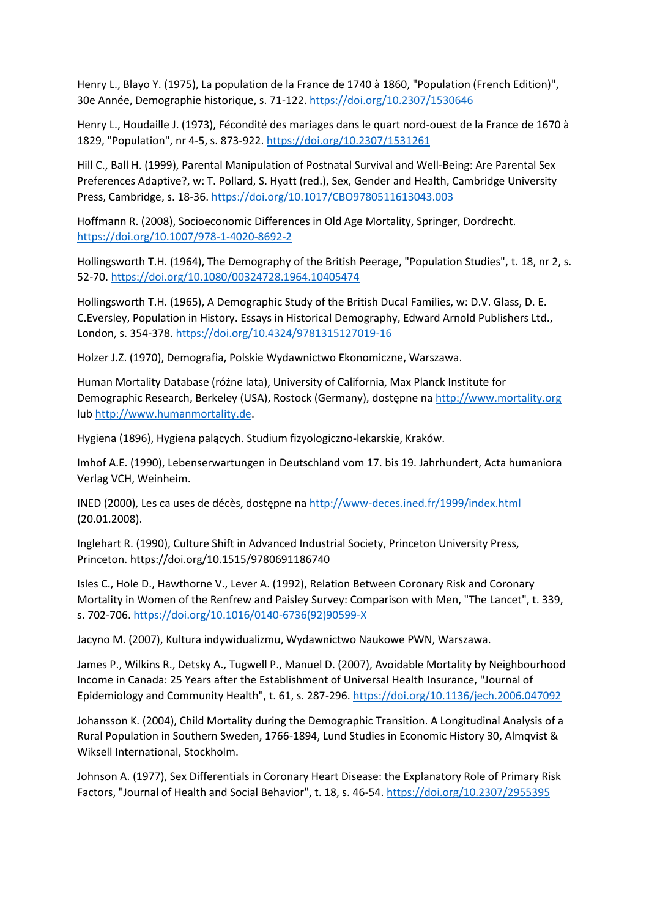Henry L., Blayo Y. (1975), La population de la France de 1740 à 1860, "Population (French Edition)", 30e Année, Demographie historique, s. 71-122. <https://doi.org/10.2307/1530646>

Henry L., Houdaille J. (1973), Fécondité des mariages dans le quart nord-ouest de la France de 1670 à 1829, "Population", nr 4-5, s. 873-922. <https://doi.org/10.2307/1531261>

Hill C., Ball H. (1999), Parental Manipulation of Postnatal Survival and Well-Being: Are Parental Sex Preferences Adaptive?, w: T. Pollard, S. Hyatt (red.), Sex, Gender and Health, Cambridge University Press, Cambridge, s. 18-36. <https://doi.org/10.1017/CBO9780511613043.003>

Hoffmann R. (2008), Socioeconomic Differences in Old Age Mortality, Springer, Dordrecht. <https://doi.org/10.1007/978-1-4020-8692-2>

Hollingsworth T.H. (1964), The Demography of the British Peerage, "Population Studies", t. 18, nr 2, s. 52-70. <https://doi.org/10.1080/00324728.1964.10405474>

Hollingsworth T.H. (1965), A Demographic Study of the British Ducal Families, w: D.V. Glass, D. E. C.Eversley, Population in History. Essays in Historical Demography, Edward Arnold Publishers Ltd., London, s. 354-378. <https://doi.org/10.4324/9781315127019-16>

Holzer J.Z. (1970), Demografia, Polskie Wydawnictwo Ekonomiczne, Warszawa.

Human Mortality Database (różne lata), University of California, Max Planck Institute for Demographic Research, Berkeley (USA), Rostock (Germany), dostępne na [http://www.mortality.org](http://www.mortality.org/) lub [http://www.humanmortality.de.](http://www.humanmortality.de/)

Hygiena (1896), Hygiena palących. Studium fizyologiczno-lekarskie, Kraków.

Imhof A.E. (1990), Lebenserwartungen in Deutschland vom 17. bis 19. Jahrhundert, Acta humaniora Verlag VCH, Weinheim.

INED (2000), Les ca uses de décès, dostępne na <http://www-deces.ined.fr/1999/index.html> (20.01.2008).

Inglehart R. (1990), Culture Shift in Advanced Industrial Society, Princeton University Press, Princeton. https://doi.org/10.1515/9780691186740

Isles C., Hole D., Hawthorne V., Lever A. (1992), Relation Between Coronary Risk and Coronary Mortality in Women of the Renfrew and Paisley Survey: Comparison with Men, "The Lancet", t. 339, s. 702-706. [https://doi.org/10.1016/0140-6736\(92\)90599-X](https://doi.org/10.1016/0140-6736(92)90599-X)

Jacyno M. (2007), Kultura indywidualizmu, Wydawnictwo Naukowe PWN, Warszawa.

James P., Wilkins R., Detsky A., Tugwell P., Manuel D. (2007), Avoidable Mortality by Neighbourhood Income in Canada: 25 Years after the Establishment of Universal Health Insurance, "Journal of Epidemiology and Community Health", t. 61, s. 287-296. <https://doi.org/10.1136/jech.2006.047092>

Johansson K. (2004), Child Mortality during the Demographic Transition. A Longitudinal Analysis of a Rural Population in Southern Sweden, 1766-1894, Lund Studies in Economic History 30, Almqvist & Wiksell International, Stockholm.

Johnson A. (1977), Sex Differentials in Coronary Heart Disease: the Explanatory Role of Primary Risk Factors, "Journal of Health and Social Behavior", t. 18, s. 46-54. <https://doi.org/10.2307/2955395>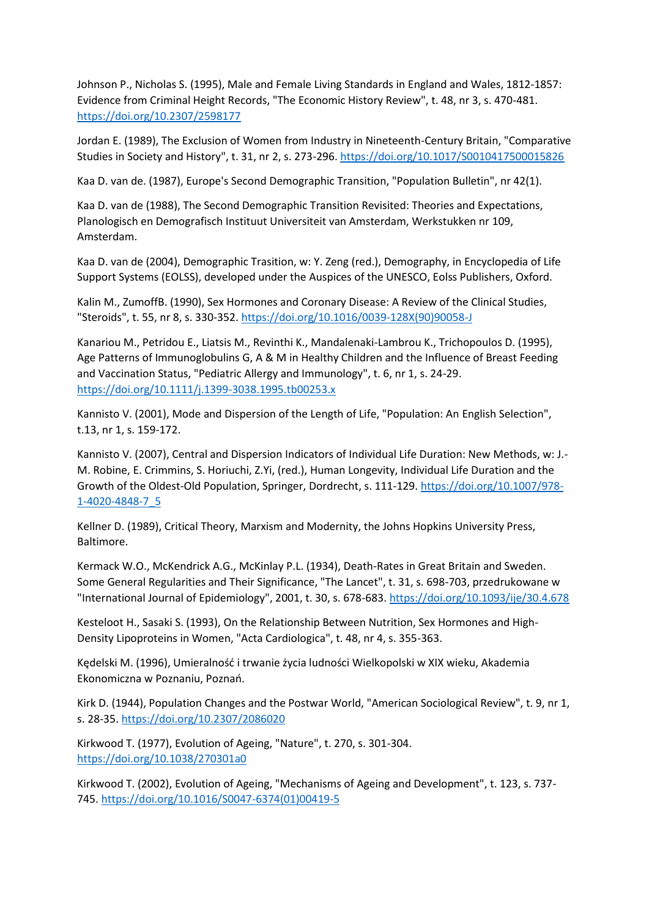Johnson P., Nicholas S. (1995), Male and Female Living Standards in England and Wales, 1812-1857: Evidence from Criminal Height Records, "The Economic History Review", t. 48, nr 3, s. 470-481. <https://doi.org/10.2307/2598177>

Jordan E. (1989), The Exclusion of Women from Industry in Nineteenth-Century Britain, "Comparative Studies in Society and History", t. 31, nr 2, s. 273-296. <https://doi.org/10.1017/S0010417500015826>

Kaa D. van de. (1987), Europe's Second Demographic Transition, "Population Bulletin", nr 42(1).

Kaa D. van de (1988), The Second Demographic Transition Revisited: Theories and Expectations, Planologisch en Demografisch Instituut Universiteit van Amsterdam, Werkstukken nr 109, Amsterdam.

Kaa D. van de (2004), Demographic Trasition, w: Y. Zeng (red.), Demography, in Encyclopedia of Life Support Systems (EOLSS), developed under the Auspices of the UNESCO, Eolss Publishers, Oxford.

Kalin M., ZumoffB. (1990), Sex Hormones and Coronary Disease: A Review of the Clinical Studies, "Steroids", t. 55, nr 8, s. 330-352. [https://doi.org/10.1016/0039-128X\(90\)90058-J](https://doi.org/10.1016/0039-128X(90)90058-J)

Kanariou M., Petridou E., Liatsis M., Revinthi K., Mandalenaki-Lambrou K., Trichopoulos D. (1995), Age Patterns of Immunoglobulins G, A & M in Healthy Children and the Influence of Breast Feeding and Vaccination Status, "Pediatric Allergy and Immunology", t. 6, nr 1, s. 24-29. <https://doi.org/10.1111/j.1399-3038.1995.tb00253.x>

Kannisto V. (2001), Mode and Dispersion of the Length of Life, "Population: An English Selection", t.13, nr 1, s. 159-172.

Kannisto V. (2007), Central and Dispersion Indicators of Individual Life Duration: New Methods, w: J.- M. Robine, E. Crimmins, S. Horiuchi, Z.Yi, (red.), Human Longevity, Individual Life Duration and the Growth of the Oldest-Old Population, Springer, Dordrecht, s. 111-129. [https://doi.org/10.1007/978-](https://doi.org/10.1007/978-1-4020-4848-7_5) [1-4020-4848-7\\_5](https://doi.org/10.1007/978-1-4020-4848-7_5)

Kellner D. (1989), Critical Theory, Marxism and Modernity, the Johns Hopkins University Press, Baltimore.

Kermack W.O., McKendrick A.G., McKinlay P.L. (1934), Death-Rates in Great Britain and Sweden. Some General Regularities and Their Significance, "The Lancet", t. 31, s. 698-703, przedrukowane w "International Journal of Epidemiology", 2001, t. 30, s. 678-683. <https://doi.org/10.1093/ije/30.4.678>

Kesteloot H., Sasaki S. (1993), On the Relationship Between Nutrition, Sex Hormones and High-Density Lipoproteins in Women, "Acta Cardiologica", t. 48, nr 4, s. 355-363.

Kędelski M. (1996), Umieralność i trwanie życia ludności Wielkopolski w XIX wieku, Akademia Ekonomiczna w Poznaniu, Poznań.

Kirk D. (1944), Population Changes and the Postwar World, "American Sociological Review", t. 9, nr 1, s. 28-35. <https://doi.org/10.2307/2086020>

Kirkwood T. (1977), Evolution of Ageing, "Nature", t. 270, s. 301-304. <https://doi.org/10.1038/270301a0>

Kirkwood T. (2002), Evolution of Ageing, "Mechanisms of Ageing and Development", t. 123, s. 737- 745. [https://doi.org/10.1016/S0047-6374\(01\)00419-5](https://doi.org/10.1016/S0047-6374(01)00419-5)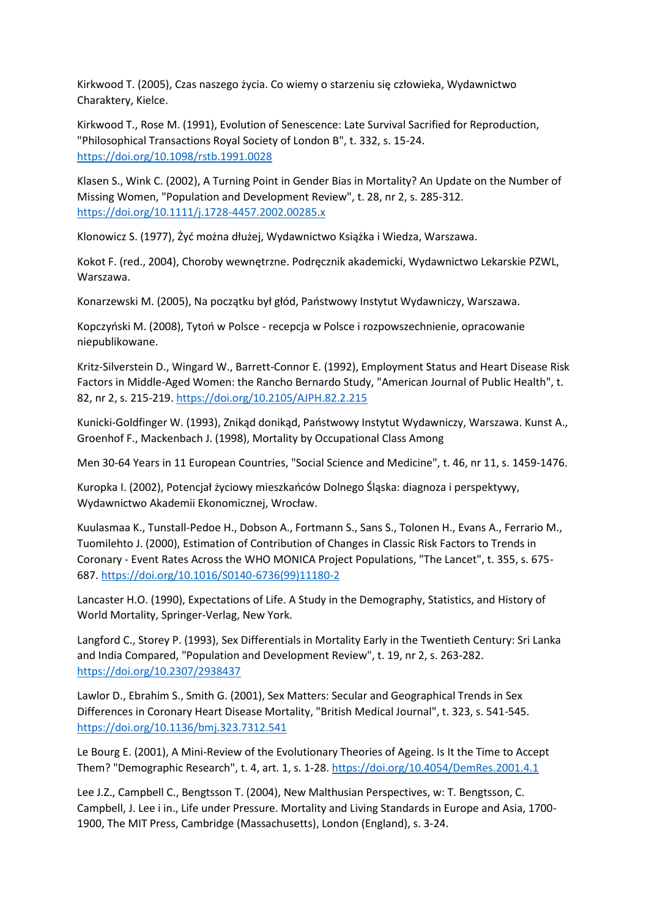Kirkwood T. (2005), Czas naszego życia. Co wiemy o starzeniu się człowieka, Wydawnictwo Charaktery, Kielce.

Kirkwood T., Rose M. (1991), Evolution of Senescence: Late Survival Sacrified for Reproduction, "Philosophical Transactions Royal Society of London B", t. 332, s. 15-24. <https://doi.org/10.1098/rstb.1991.0028>

Klasen S., Wink C. (2002), A Turning Point in Gender Bias in Mortality? An Update on the Number of Missing Women, "Population and Development Review", t. 28, nr 2, s. 285-312. <https://doi.org/10.1111/j.1728-4457.2002.00285.x>

Klonowicz S. (1977), Żyć można dłużej, Wydawnictwo Książka i Wiedza, Warszawa.

Kokot F. (red., 2004), Choroby wewnętrzne. Podręcznik akademicki, Wydawnictwo Lekarskie PZWL, Warszawa.

Konarzewski M. (2005), Na początku był głód, Państwowy Instytut Wydawniczy, Warszawa.

Kopczyński M. (2008), Tytoń w Polsce - recepcja w Polsce i rozpowszechnienie, opracowanie niepublikowane.

Kritz-Silverstein D., Wingard W., Barrett-Connor E. (1992), Employment Status and Heart Disease Risk Factors in Middle-Aged Women: the Rancho Bernardo Study, "American Journal of Public Health", t. 82, nr 2, s. 215-219. <https://doi.org/10.2105/AJPH.82.2.215>

Kunicki-Goldfinger W. (1993), Znikąd donikąd, Państwowy Instytut Wydawniczy, Warszawa. Kunst A., Groenhof F., Mackenbach J. (1998), Mortality by Occupational Class Among

Men 30-64 Years in 11 European Countries, "Social Science and Medicine", t. 46, nr 11, s. 1459-1476.

Kuropka I. (2002), Potencjał życiowy mieszkańców Dolnego Śląska: diagnoza i perspektywy, Wydawnictwo Akademii Ekonomicznej, Wrocław.

Kuulasmaa K., Tunstall-Pedoe H., Dobson A., Fortmann S., Sans S., Tolonen H., Evans A., Ferrario M., Tuomilehto J. (2000), Estimation of Contribution of Changes in Classic Risk Factors to Trends in Coronary - Event Rates Across the WHO MONICA Project Populations, "The Lancet", t. 355, s. 675- 687. [https://doi.org/10.1016/S0140-6736\(99\)11180-2](https://doi.org/10.1016/S0140-6736(99)11180-2)

Lancaster H.O. (1990), Expectations of Life. A Study in the Demography, Statistics, and History of World Mortality, Springer-Verlag, New York.

Langford C., Storey P. (1993), Sex Differentials in Mortality Early in the Twentieth Century: Sri Lanka and India Compared, "Population and Development Review", t. 19, nr 2, s. 263-282. <https://doi.org/10.2307/2938437>

Lawlor D., Ebrahim S., Smith G. (2001), Sex Matters: Secular and Geographical Trends in Sex Differences in Coronary Heart Disease Mortality, "British Medical Journal", t. 323, s. 541-545. <https://doi.org/10.1136/bmj.323.7312.541>

Le Bourg E. (2001), A Mini-Review of the Evolutionary Theories of Ageing. Is It the Time to Accept Them? "Demographic Research", t. 4, art. 1, s. 1-28. <https://doi.org/10.4054/DemRes.2001.4.1>

Lee J.Z., Campbell C., Bengtsson T. (2004), New Malthusian Perspectives, w: T. Bengtsson, C. Campbell, J. Lee i in., Life under Pressure. Mortality and Living Standards in Europe and Asia, 1700- 1900, The MIT Press, Cambridge (Massachusetts), London (England), s. 3-24.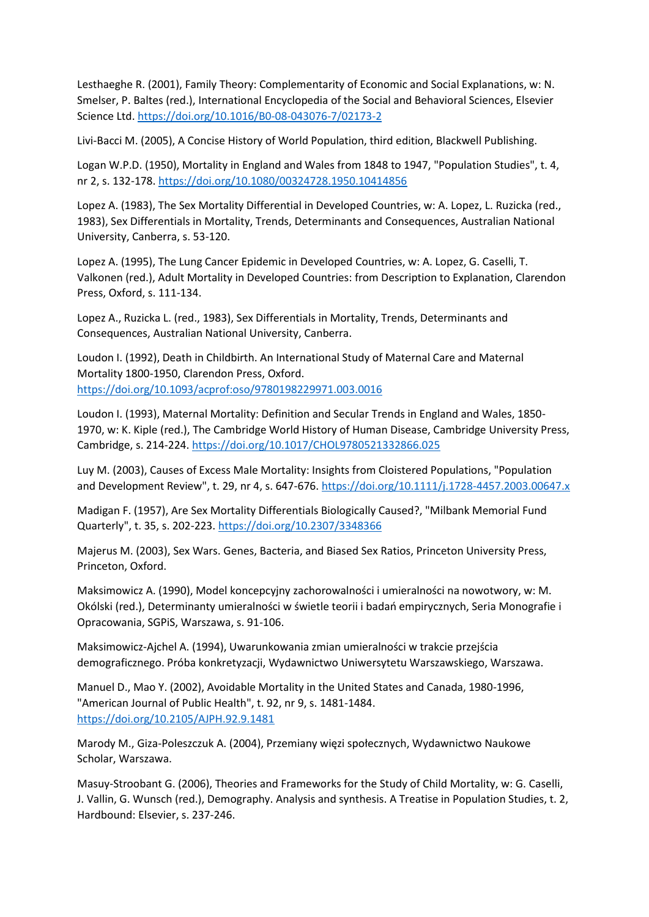Lesthaeghe R. (2001), Family Theory: Complementarity of Economic and Social Explanations, w: N. Smelser, P. Baltes (red.), International Encyclopedia of the Social and Behavioral Sciences, Elsevier Science Ltd. <https://doi.org/10.1016/B0-08-043076-7/02173-2>

Livi-Bacci M. (2005), A Concise History of World Population, third edition, Blackwell Publishing.

Logan W.P.D. (1950), Mortality in England and Wales from 1848 to 1947, "Population Studies", t. 4, nr 2, s. 132-178. <https://doi.org/10.1080/00324728.1950.10414856>

Lopez A. (1983), The Sex Mortality Differential in Developed Countries, w: A. Lopez, L. Ruzicka (red., 1983), Sex Differentials in Mortality, Trends, Determinants and Consequences, Australian National University, Canberra, s. 53-120.

Lopez A. (1995), The Lung Cancer Epidemic in Developed Countries, w: A. Lopez, G. Caselli, T. Valkonen (red.), Adult Mortality in Developed Countries: from Description to Explanation, Clarendon Press, Oxford, s. 111-134.

Lopez A., Ruzicka L. (red., 1983), Sex Differentials in Mortality, Trends, Determinants and Consequences, Australian National University, Canberra.

Loudon I. (1992), Death in Childbirth. An International Study of Maternal Care and Maternal Mortality 1800-1950, Clarendon Press, Oxford. <https://doi.org/10.1093/acprof:oso/9780198229971.003.0016>

Loudon I. (1993), Maternal Mortality: Definition and Secular Trends in England and Wales, 1850- 1970, w: K. Kiple (red.), The Cambridge World History of Human Disease, Cambridge University Press, Cambridge, s. 214-224. <https://doi.org/10.1017/CHOL9780521332866.025>

Luy M. (2003), Causes of Excess Male Mortality: Insights from Cloistered Populations, "Population and Development Review", t. 29, nr 4, s. 647-676. <https://doi.org/10.1111/j.1728-4457.2003.00647.x>

Madigan F. (1957), Are Sex Mortality Differentials Biologically Caused?, "Milbank Memorial Fund Quarterly", t. 35, s. 202-223. <https://doi.org/10.2307/3348366>

Majerus M. (2003), Sex Wars. Genes, Bacteria, and Biased Sex Ratios, Princeton University Press, Princeton, Oxford.

Maksimowicz A. (1990), Model koncepcyjny zachorowalności i umieralności na nowotwory, w: M. Okólski (red.), Determinanty umieralności w świetle teorii i badań empirycznych, Seria Monografie i Opracowania, SGPiS, Warszawa, s. 91-106.

Maksimowicz-Ajchel A. (1994), Uwarunkowania zmian umieralności w trakcie przejścia demograficznego. Próba konkretyzacji, Wydawnictwo Uniwersytetu Warszawskiego, Warszawa.

Manuel D., Mao Y. (2002), Avoidable Mortality in the United States and Canada, 1980-1996, "American Journal of Public Health", t. 92, nr 9, s. 1481-1484. <https://doi.org/10.2105/AJPH.92.9.1481>

Marody M., Giza-Poleszczuk A. (2004), Przemiany więzi społecznych, Wydawnictwo Naukowe Scholar, Warszawa.

Masuy-Stroobant G. (2006), Theories and Frameworks for the Study of Child Mortality, w: G. Caselli, J. Vallin, G. Wunsch (red.), Demography. Analysis and synthesis. A Treatise in Population Studies, t. 2, Hardbound: Elsevier, s. 237-246.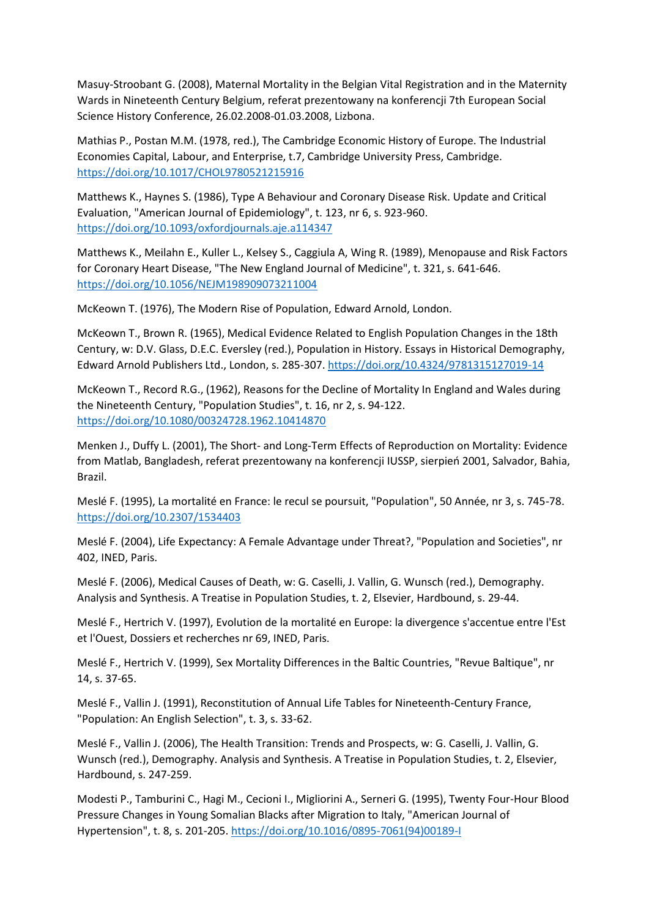Masuy-Stroobant G. (2008), Maternal Mortality in the Belgian Vital Registration and in the Maternity Wards in Nineteenth Century Belgium, referat prezentowany na konferencji 7th European Social Science History Conference, 26.02.2008-01.03.2008, Lizbona.

Mathias P., Postan M.M. (1978, red.), The Cambridge Economic History of Europe. The Industrial Economies Capital, Labour, and Enterprise, t.7, Cambridge University Press, Cambridge. <https://doi.org/10.1017/CHOL9780521215916>

Matthews K., Haynes S. (1986), Type A Behaviour and Coronary Disease Risk. Update and Critical Evaluation, "American Journal of Epidemiology", t. 123, nr 6, s. 923-960. <https://doi.org/10.1093/oxfordjournals.aje.a114347>

Matthews K., Meilahn E., Kuller L., Kelsey S., Caggiula A, Wing R. (1989), Menopause and Risk Factors for Coronary Heart Disease, "The New England Journal of Medicine", t. 321, s. 641-646. <https://doi.org/10.1056/NEJM198909073211004>

McKeown T. (1976), The Modern Rise of Population, Edward Arnold, London.

McKeown T., Brown R. (1965), Medical Evidence Related to English Population Changes in the 18th Century, w: D.V. Glass, D.E.C. Eversley (red.), Population in History. Essays in Historical Demography, Edward Arnold Publishers Ltd., London, s. 285-307. <https://doi.org/10.4324/9781315127019-14>

McKeown T., Record R.G., (1962), Reasons for the Decline of Mortality In England and Wales during the Nineteenth Century, "Population Studies", t. 16, nr 2, s. 94-122. <https://doi.org/10.1080/00324728.1962.10414870>

Menken J., Duffy L. (2001), The Short- and Long-Term Effects of Reproduction on Mortality: Evidence from Matlab, Bangladesh, referat prezentowany na konferencji IUSSP, sierpień 2001, Salvador, Bahia, Brazil.

Meslé F. (1995), La mortalité en France: le recul se poursuit, "Population", 50 Année, nr 3, s. 745-78. <https://doi.org/10.2307/1534403>

Meslé F. (2004), Life Expectancy: A Female Advantage under Threat?, "Population and Societies", nr 402, INED, Paris.

Meslé F. (2006), Medical Causes of Death, w: G. Caselli, J. Vallin, G. Wunsch (red.), Demography. Analysis and Synthesis. A Treatise in Population Studies, t. 2, Elsevier, Hardbound, s. 29-44.

Meslé F., Hertrich V. (1997), Evolution de la mortalité en Europe: la divergence s'accentue entre l'Est et l'Ouest, Dossiers et recherches nr 69, INED, Paris.

Meslé F., Hertrich V. (1999), Sex Mortality Differences in the Baltic Countries, "Revue Baltique", nr 14, s. 37-65.

Meslé F., Vallin J. (1991), Reconstitution of Annual Life Tables for Nineteenth-Century France, "Population: An English Selection", t. 3, s. 33-62.

Meslé F., Vallin J. (2006), The Health Transition: Trends and Prospects, w: G. Caselli, J. Vallin, G. Wunsch (red.), Demography. Analysis and Synthesis. A Treatise in Population Studies, t. 2, Elsevier, Hardbound, s. 247-259.

Modesti P., Tamburini C., Hagi M., Cecioni I., Migliorini A., Serneri G. (1995), Twenty Four-Hour Blood Pressure Changes in Young Somalian Blacks after Migration to Italy, "American Journal of Hypertension", t. 8, s. 201-205. [https://doi.org/10.1016/0895-7061\(94\)00189-I](https://doi.org/10.1016/0895-7061(94)00189-I)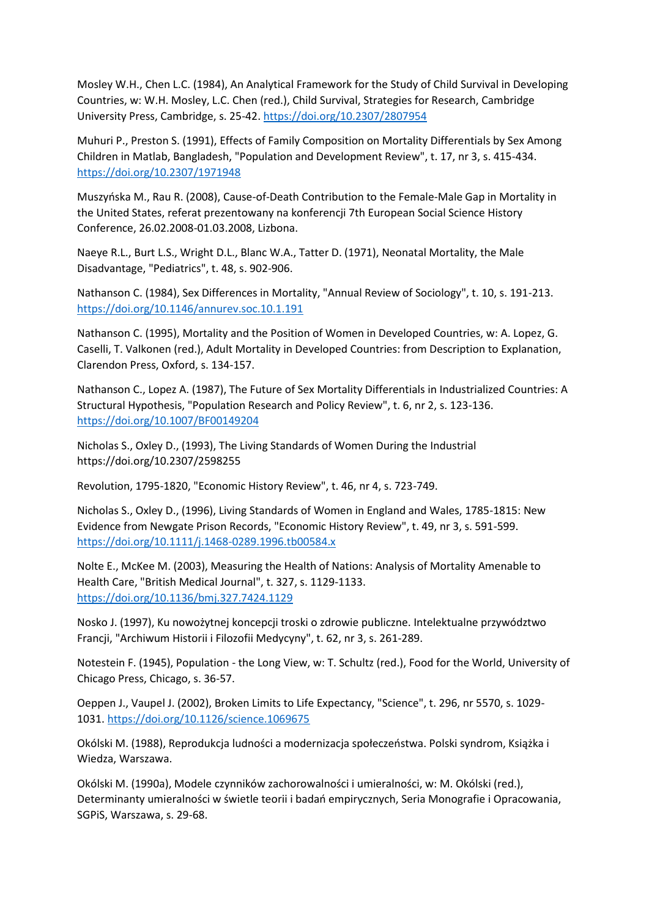Mosley W.H., Chen L.C. (1984), An Analytical Framework for the Study of Child Survival in Developing Countries, w: W.H. Mosley, L.C. Chen (red.), Child Survival, Strategies for Research, Cambridge University Press, Cambridge, s. 25-42. <https://doi.org/10.2307/2807954>

Muhuri P., Preston S. (1991), Effects of Family Composition on Mortality Differentials by Sex Among Children in Matlab, Bangladesh, "Population and Development Review", t. 17, nr 3, s. 415-434. <https://doi.org/10.2307/1971948>

Muszyńska M., Rau R. (2008), Cause-of-Death Contribution to the Female-Male Gap in Mortality in the United States, referat prezentowany na konferencji 7th European Social Science History Conference, 26.02.2008-01.03.2008, Lizbona.

Naeye R.L., Burt L.S., Wright D.L., Blanc W.A., Tatter D. (1971), Neonatal Mortality, the Male Disadvantage, "Pediatrics", t. 48, s. 902-906.

Nathanson C. (1984), Sex Differences in Mortality, "Annual Review of Sociology", t. 10, s. 191-213. <https://doi.org/10.1146/annurev.soc.10.1.191>

Nathanson C. (1995), Mortality and the Position of Women in Developed Countries, w: A. Lopez, G. Caselli, T. Valkonen (red.), Adult Mortality in Developed Countries: from Description to Explanation, Clarendon Press, Oxford, s. 134-157.

Nathanson C., Lopez A. (1987), The Future of Sex Mortality Differentials in Industrialized Countries: A Structural Hypothesis, "Population Research and Policy Review", t. 6, nr 2, s. 123-136. <https://doi.org/10.1007/BF00149204>

Nicholas S., Oxley D., (1993), The Living Standards of Women During the Industrial https://doi.org/10.2307/2598255

Revolution, 1795-1820, "Economic History Review", t. 46, nr 4, s. 723-749.

Nicholas S., Oxley D., (1996), Living Standards of Women in England and Wales, 1785-1815: New Evidence from Newgate Prison Records, "Economic History Review", t. 49, nr 3, s. 591-599. <https://doi.org/10.1111/j.1468-0289.1996.tb00584.x>

Nolte E., McKee M. (2003), Measuring the Health of Nations: Analysis of Mortality Amenable to Health Care, "British Medical Journal", t. 327, s. 1129-1133. <https://doi.org/10.1136/bmj.327.7424.1129>

Nosko J. (1997), Ku nowożytnej koncepcji troski o zdrowie publiczne. Intelektualne przywództwo Francji, "Archiwum Historii i Filozofii Medycyny", t. 62, nr 3, s. 261-289.

Notestein F. (1945), Population - the Long View, w: T. Schultz (red.), Food for the World, University of Chicago Press, Chicago, s. 36-57.

Oeppen J., Vaupel J. (2002), Broken Limits to Life Expectancy, "Science", t. 296, nr 5570, s. 1029- 1031. <https://doi.org/10.1126/science.1069675>

Okólski M. (1988), Reprodukcja ludności a modernizacja społeczeństwa. Polski syndrom, Książka i Wiedza, Warszawa.

Okólski M. (1990a), Modele czynników zachorowalności i umieralności, w: M. Okólski (red.), Determinanty umieralności w świetle teorii i badań empirycznych, Seria Monografie i Opracowania, SGPiS, Warszawa, s. 29-68.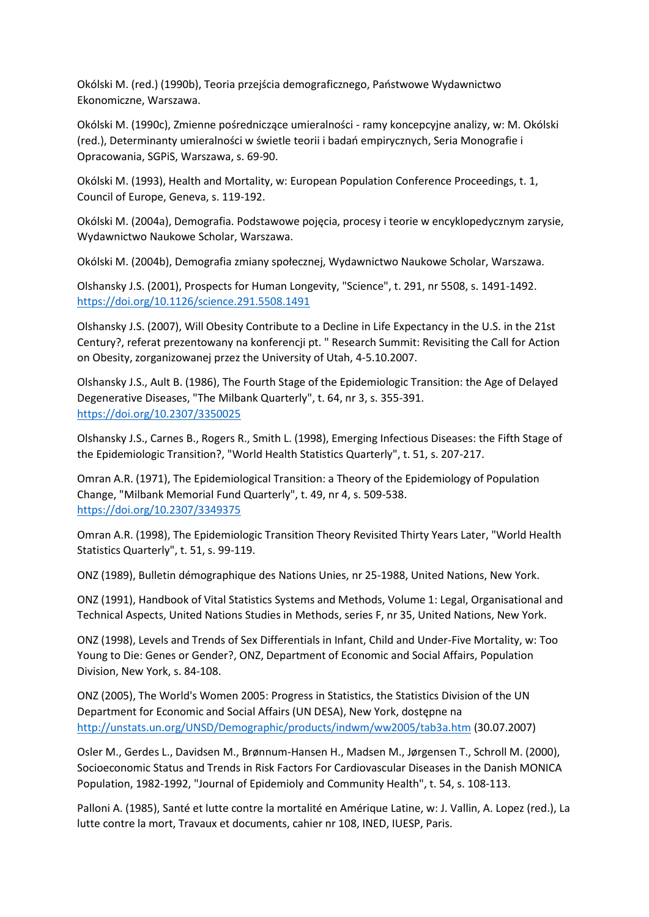Okólski M. (red.) (1990b), Teoria przejścia demograficznego, Państwowe Wydawnictwo Ekonomiczne, Warszawa.

Okólski M. (1990c), Zmienne pośredniczące umieralności - ramy koncepcyjne analizy, w: M. Okólski (red.), Determinanty umieralności w świetle teorii i badań empirycznych, Seria Monografie i Opracowania, SGPiS, Warszawa, s. 69-90.

Okólski M. (1993), Health and Mortality, w: European Population Conference Proceedings, t. 1, Council of Europe, Geneva, s. 119-192.

Okólski M. (2004a), Demografia. Podstawowe pojęcia, procesy i teorie w encyklopedycznym zarysie, Wydawnictwo Naukowe Scholar, Warszawa.

Okólski M. (2004b), Demografia zmiany społecznej, Wydawnictwo Naukowe Scholar, Warszawa.

Olshansky J.S. (2001), Prospects for Human Longevity, "Science", t. 291, nr 5508, s. 1491-1492. <https://doi.org/10.1126/science.291.5508.1491>

Olshansky J.S. (2007), Will Obesity Contribute to a Decline in Life Expectancy in the U.S. in the 21st Century?, referat prezentowany na konferencji pt. " Research Summit: Revisiting the Call for Action on Obesity, zorganizowanej przez the University of Utah, 4-5.10.2007.

Olshansky J.S., Ault B. (1986), The Fourth Stage of the Epidemiologic Transition: the Age of Delayed Degenerative Diseases, "The Milbank Quarterly", t. 64, nr 3, s. 355-391. <https://doi.org/10.2307/3350025>

Olshansky J.S., Carnes B., Rogers R., Smith L. (1998), Emerging Infectious Diseases: the Fifth Stage of the Epidemiologic Transition?, "World Health Statistics Quarterly", t. 51, s. 207-217.

Omran A.R. (1971), The Epidemiological Transition: a Theory of the Epidemiology of Population Change, "Milbank Memorial Fund Quarterly", t. 49, nr 4, s. 509-538. <https://doi.org/10.2307/3349375>

Omran A.R. (1998), The Epidemiologic Transition Theory Revisited Thirty Years Later, "World Health Statistics Quarterly", t. 51, s. 99-119.

ONZ (1989), Bulletin démographique des Nations Unies, nr 25-1988, United Nations, New York.

ONZ (1991), Handbook of Vital Statistics Systems and Methods, Volume 1: Legal, Organisational and Technical Aspects, United Nations Studies in Methods, series F, nr 35, United Nations, New York.

ONZ (1998), Levels and Trends of Sex Differentials in Infant, Child and Under-Five Mortality, w: Too Young to Die: Genes or Gender?, ONZ, Department of Economic and Social Affairs, Population Division, New York, s. 84-108.

ONZ (2005), The World's Women 2005: Progress in Statistics, the Statistics Division of the UN Department for Economic and Social Affairs (UN DESA), New York, dostępne na <http://unstats.un.org/UNSD/Demographic/products/indwm/ww2005/tab3a.htm> (30.07.2007)

Osler M., Gerdes L., Davidsen M., Brønnum-Hansen H., Madsen M., Jørgensen T., Schroll M. (2000), Socioeconomic Status and Trends in Risk Factors For Cardiovascular Diseases in the Danish MONICA Population, 1982-1992, "Journal of Epidemioly and Community Health", t. 54, s. 108-113.

Palloni A. (1985), Santé et lutte contre la mortalité en Amérique Latine, w: J. Vallin, A. Lopez (red.), La lutte contre la mort, Travaux et documents, cahier nr 108, INED, IUESP, Paris.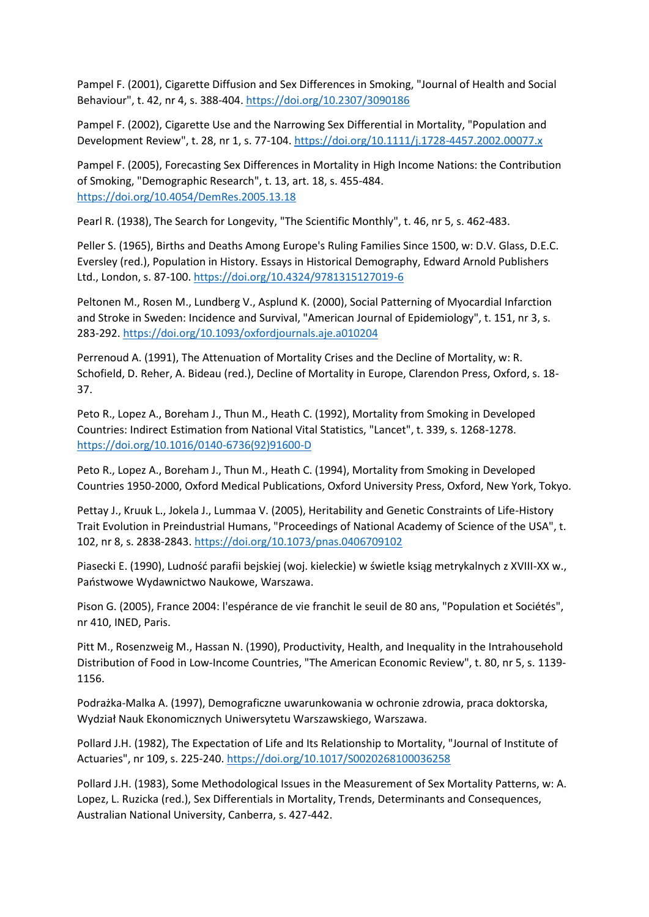Pampel F. (2001), Cigarette Diffusion and Sex Differences in Smoking, "Journal of Health and Social Behaviour", t. 42, nr 4, s. 388-404. <https://doi.org/10.2307/3090186>

Pampel F. (2002), Cigarette Use and the Narrowing Sex Differential in Mortality, "Population and Development Review", t. 28, nr 1, s. 77-104. <https://doi.org/10.1111/j.1728-4457.2002.00077.x>

Pampel F. (2005), Forecasting Sex Differences in Mortality in High Income Nations: the Contribution of Smoking, "Demographic Research", t. 13, art. 18, s. 455-484. <https://doi.org/10.4054/DemRes.2005.13.18>

Pearl R. (1938), The Search for Longevity, "The Scientific Monthly", t. 46, nr 5, s. 462-483.

Peller S. (1965), Births and Deaths Among Europe's Ruling Families Since 1500, w: D.V. Glass, D.E.C. Eversley (red.), Population in History. Essays in Historical Demography, Edward Arnold Publishers Ltd., London, s. 87-100. <https://doi.org/10.4324/9781315127019-6>

Peltonen M., Rosen M., Lundberg V., Asplund K. (2000), Social Patterning of Myocardial Infarction and Stroke in Sweden: Incidence and Survival, "American Journal of Epidemiology", t. 151, nr 3, s. 283-292. <https://doi.org/10.1093/oxfordjournals.aje.a010204>

Perrenoud A. (1991), The Attenuation of Mortality Crises and the Decline of Mortality, w: R. Schofield, D. Reher, A. Bideau (red.), Decline of Mortality in Europe, Clarendon Press, Oxford, s. 18- 37.

Peto R., Lopez A., Boreham J., Thun M., Heath C. (1992), Mortality from Smoking in Developed Countries: Indirect Estimation from National Vital Statistics, "Lancet", t. 339, s. 1268-1278. [https://doi.org/10.1016/0140-6736\(92\)91600-D](https://doi.org/10.1016/0140-6736(92)91600-D)

Peto R., Lopez A., Boreham J., Thun M., Heath C. (1994), Mortality from Smoking in Developed Countries 1950-2000, Oxford Medical Publications, Oxford University Press, Oxford, New York, Tokyo.

Pettay J., Kruuk L., Jokela J., Lummaa V. (2005), Heritability and Genetic Constraints of Life-History Trait Evolution in Preindustrial Humans, "Proceedings of National Academy of Science of the USA", t. 102, nr 8, s. 2838-2843. <https://doi.org/10.1073/pnas.0406709102>

Piasecki E. (1990), Ludność parafii bejskiej (woj. kieleckie) w świetle ksiąg metrykalnych z XVIII-XX w., Państwowe Wydawnictwo Naukowe, Warszawa.

Pison G. (2005), France 2004: l'espérance de vie franchit le seuil de 80 ans, "Population et Sociétés", nr 410, INED, Paris.

Pitt M., Rosenzweig M., Hassan N. (1990), Productivity, Health, and Inequality in the Intrahousehold Distribution of Food in Low-Income Countries, "The American Economic Review", t. 80, nr 5, s. 1139- 1156.

Podrażka-Malka A. (1997), Demograficzne uwarunkowania w ochronie zdrowia, praca doktorska, Wydział Nauk Ekonomicznych Uniwersytetu Warszawskiego, Warszawa.

Pollard J.H. (1982), The Expectation of Life and Its Relationship to Mortality, "Journal of Institute of Actuaries", nr 109, s. 225-240. <https://doi.org/10.1017/S0020268100036258>

Pollard J.H. (1983), Some Methodological Issues in the Measurement of Sex Mortality Patterns, w: A. Lopez, L. Ruzicka (red.), Sex Differentials in Mortality, Trends, Determinants and Consequences, Australian National University, Canberra, s. 427-442.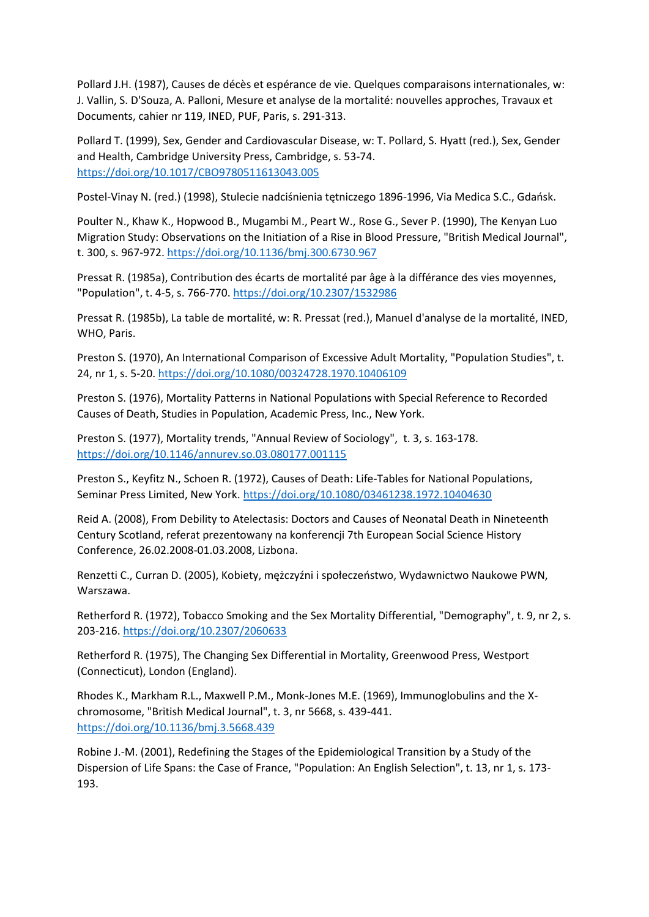Pollard J.H. (1987), Causes de décès et espérance de vie. Quelques comparaisons internationales, w: J. Vallin, S. D'Souza, A. Palloni, Mesure et analyse de la mortalité: nouvelles approches, Travaux et Documents, cahier nr 119, INED, PUF, Paris, s. 291-313.

Pollard T. (1999), Sex, Gender and Cardiovascular Disease, w: T. Pollard, S. Hyatt (red.), Sex, Gender and Health, Cambridge University Press, Cambridge, s. 53-74. <https://doi.org/10.1017/CBO9780511613043.005>

Postel-Vinay N. (red.) (1998), Stulecie nadciśnienia tętniczego 1896-1996, Via Medica S.C., Gdańsk.

Poulter N., Khaw K., Hopwood B., Mugambi M., Peart W., Rose G., Sever P. (1990), The Kenyan Luo Migration Study: Observations on the Initiation of a Rise in Blood Pressure, "British Medical Journal", t. 300, s. 967-972. <https://doi.org/10.1136/bmj.300.6730.967>

Pressat R. (1985a), Contribution des écarts de mortalité par âge à la différance des vies moyennes, "Population", t. 4-5, s. 766-770. <https://doi.org/10.2307/1532986>

Pressat R. (1985b), La table de mortalité, w: R. Pressat (red.), Manuel d'analyse de la mortalité, INED, WHO, Paris.

Preston S. (1970), An International Comparison of Excessive Adult Mortality, "Population Studies", t. 24, nr 1, s. 5-20. <https://doi.org/10.1080/00324728.1970.10406109>

Preston S. (1976), Mortality Patterns in National Populations with Special Reference to Recorded Causes of Death, Studies in Population, Academic Press, Inc., New York.

Preston S. (1977), Mortality trends, "Annual Review of Sociology", t. 3, s. 163-178. <https://doi.org/10.1146/annurev.so.03.080177.001115>

Preston S., Keyfitz N., Schoen R. (1972), Causes of Death: Life-Tables for National Populations, Seminar Press Limited, New York. <https://doi.org/10.1080/03461238.1972.10404630>

Reid A. (2008), From Debility to Atelectasis: Doctors and Causes of Neonatal Death in Nineteenth Century Scotland, referat prezentowany na konferencji 7th European Social Science History Conference, 26.02.2008-01.03.2008, Lizbona.

Renzetti C., Curran D. (2005), Kobiety, mężczyźni i społeczeństwo, Wydawnictwo Naukowe PWN, Warszawa.

Retherford R. (1972), Tobacco Smoking and the Sex Mortality Differential, "Demography", t. 9, nr 2, s. 203-216. <https://doi.org/10.2307/2060633>

Retherford R. (1975), The Changing Sex Differential in Mortality, Greenwood Press, Westport (Connecticut), London (England).

Rhodes K., Markham R.L., Maxwell P.M., Monk-Jones M.E. (1969), Immunoglobulins and the Xchromosome, "British Medical Journal", t. 3, nr 5668, s. 439-441. <https://doi.org/10.1136/bmj.3.5668.439>

Robine J.-M. (2001), Redefining the Stages of the Epidemiological Transition by a Study of the Dispersion of Life Spans: the Case of France, "Population: An English Selection", t. 13, nr 1, s. 173- 193.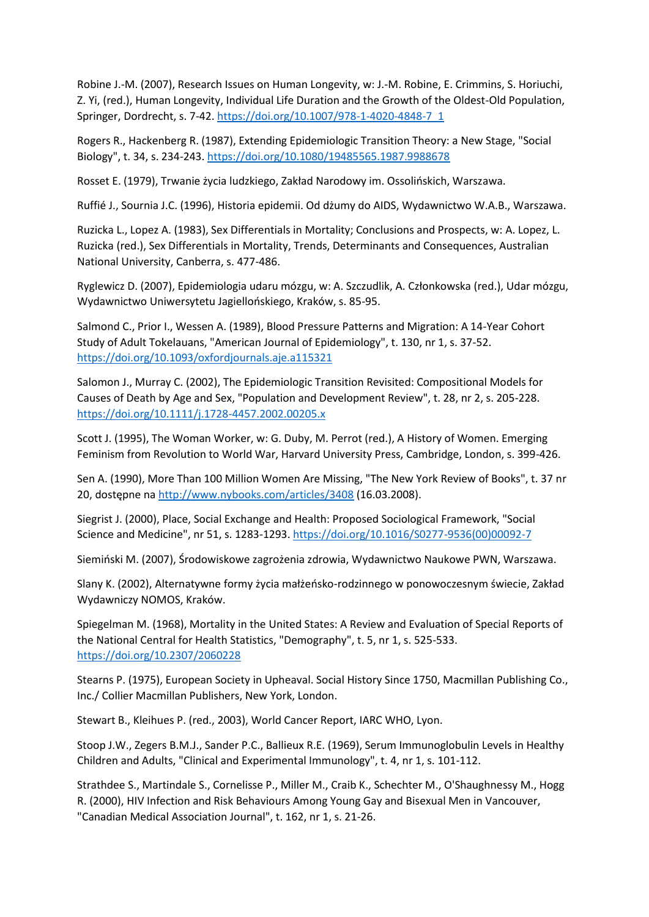Robine J.-M. (2007), Research Issues on Human Longevity, w: J.-M. Robine, E. Crimmins, S. Horiuchi, Z. Yi, (red.), Human Longevity, Individual Life Duration and the Growth of the Oldest-Old Population, Springer, Dordrecht, s. 7-42. [https://doi.org/10.1007/978-1-4020-4848-7\\_1](https://doi.org/10.1007/978-1-4020-4848-7_1)

Rogers R., Hackenberg R. (1987), Extending Epidemiologic Transition Theory: a New Stage, "Social Biology", t. 34, s. 234-243. <https://doi.org/10.1080/19485565.1987.9988678>

Rosset E. (1979), Trwanie życia ludzkiego, Zakład Narodowy im. Ossolińskich, Warszawa.

Ruffié J., Sournia J.C. (1996), Historia epidemii. Od dżumy do AIDS, Wydawnictwo W.A.B., Warszawa.

Ruzicka L., Lopez A. (1983), Sex Differentials in Mortality; Conclusions and Prospects, w: A. Lopez, L. Ruzicka (red.), Sex Differentials in Mortality, Trends, Determinants and Consequences, Australian National University, Canberra, s. 477-486.

Ryglewicz D. (2007), Epidemiologia udaru mózgu, w: A. Szczudlik, A. Członkowska (red.), Udar mózgu, Wydawnictwo Uniwersytetu Jagiellońskiego, Kraków, s. 85-95.

Salmond C., Prior I., Wessen A. (1989), Blood Pressure Patterns and Migration: A 14-Year Cohort Study of Adult Tokelauans, "American Journal of Epidemiology", t. 130, nr 1, s. 37-52. <https://doi.org/10.1093/oxfordjournals.aje.a115321>

Salomon J., Murray C. (2002), The Epidemiologic Transition Revisited: Compositional Models for Causes of Death by Age and Sex, "Population and Development Review", t. 28, nr 2, s. 205-228. <https://doi.org/10.1111/j.1728-4457.2002.00205.x>

Scott J. (1995), The Woman Worker, w: G. Duby, M. Perrot (red.), A History of Women. Emerging Feminism from Revolution to World War, Harvard University Press, Cambridge, London, s. 399-426.

Sen A. (1990), More Than 100 Million Women Are Missing, "The New York Review of Books", t. 37 nr 20, dostępne na <http://www.nybooks.com/articles/3408> (16.03.2008).

Siegrist J. (2000), Place, Social Exchange and Health: Proposed Sociological Framework, "Social Science and Medicine", nr 51, s. 1283-1293. [https://doi.org/10.1016/S0277-9536\(00\)00092-7](https://doi.org/10.1016/S0277-9536(00)00092-7)

Siemiński M. (2007), Środowiskowe zagrożenia zdrowia, Wydawnictwo Naukowe PWN, Warszawa.

Slany K. (2002), Alternatywne formy życia małżeńsko-rodzinnego w ponowoczesnym świecie, Zakład Wydawniczy NOMOS, Kraków.

Spiegelman M. (1968), Mortality in the United States: A Review and Evaluation of Special Reports of the National Central for Health Statistics, "Demography", t. 5, nr 1, s. 525-533. <https://doi.org/10.2307/2060228>

Stearns P. (1975), European Society in Upheaval. Social History Since 1750, Macmillan Publishing Co., Inc./ Collier Macmillan Publishers, New York, London.

Stewart B., Kleihues P. (red., 2003), World Cancer Report, IARC WHO, Lyon.

Stoop J.W., Zegers B.M.J., Sander P.C., Ballieux R.E. (1969), Serum Immunoglobulin Levels in Healthy Children and Adults, "Clinical and Experimental Immunology", t. 4, nr 1, s. 101-112.

Strathdee S., Martindale S., Cornelisse P., Miller M., Craib K., Schechter M., O'Shaughnessy M., Hogg R. (2000), HIV Infection and Risk Behaviours Among Young Gay and Bisexual Men in Vancouver, "Canadian Medical Association Journal", t. 162, nr 1, s. 21-26.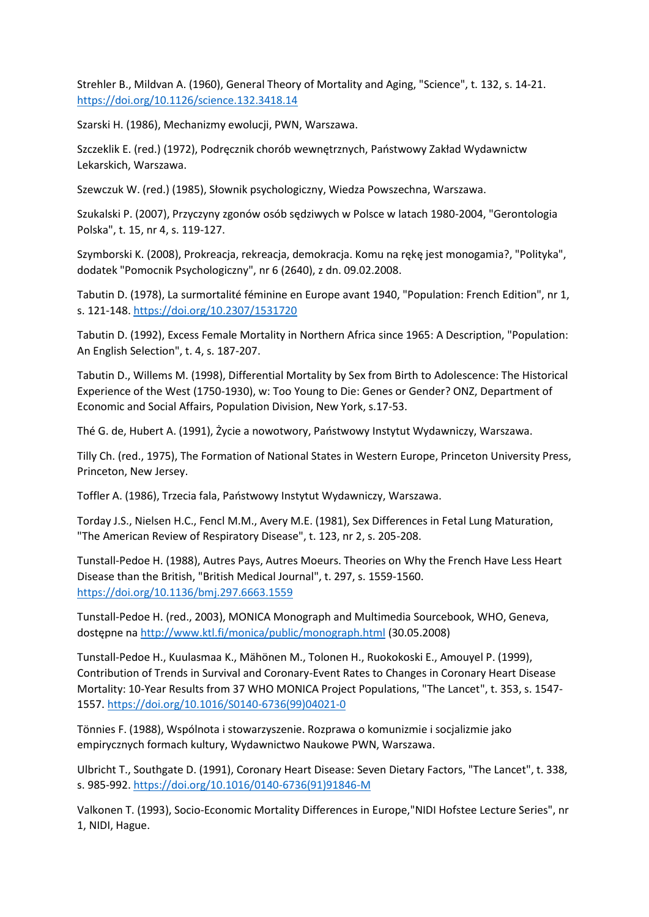Strehler B., Mildvan A. (1960), General Theory of Mortality and Aging, "Science", t. 132, s. 14-21. <https://doi.org/10.1126/science.132.3418.14>

Szarski H. (1986), Mechanizmy ewolucji, PWN, Warszawa.

Szczeklik E. (red.) (1972), Podręcznik chorób wewnętrznych, Państwowy Zakład Wydawnictw Lekarskich, Warszawa.

Szewczuk W. (red.) (1985), Słownik psychologiczny, Wiedza Powszechna, Warszawa.

Szukalski P. (2007), Przyczyny zgonów osób sędziwych w Polsce w latach 1980-2004, "Gerontologia Polska", t. 15, nr 4, s. 119-127.

Szymborski K. (2008), Prokreacja, rekreacja, demokracja. Komu na rękę jest monogamia?, "Polityka", dodatek "Pomocnik Psychologiczny", nr 6 (2640), z dn. 09.02.2008.

Tabutin D. (1978), La surmortalité féminine en Europe avant 1940, "Population: French Edition", nr 1, s. 121-148. <https://doi.org/10.2307/1531720>

Tabutin D. (1992), Excess Female Mortality in Northern Africa since 1965: A Description, "Population: An English Selection", t. 4, s. 187-207.

Tabutin D., Willems M. (1998), Differential Mortality by Sex from Birth to Adolescence: The Historical Experience of the West (1750-1930), w: Too Young to Die: Genes or Gender? ONZ, Department of Economic and Social Affairs, Population Division, New York, s.17-53.

Thé G. de, Hubert A. (1991), Życie a nowotwory, Państwowy Instytut Wydawniczy, Warszawa.

Tilly Ch. (red., 1975), The Formation of National States in Western Europe, Princeton University Press, Princeton, New Jersey.

Toffler A. (1986), Trzecia fala, Państwowy Instytut Wydawniczy, Warszawa.

Torday J.S., Nielsen H.C., Fencl M.M., Avery M.E. (1981), Sex Differences in Fetal Lung Maturation, "The American Review of Respiratory Disease", t. 123, nr 2, s. 205-208.

Tunstall-Pedoe H. (1988), Autres Pays, Autres Moeurs. Theories on Why the French Have Less Heart Disease than the British, "British Medical Journal", t. 297, s. 1559-1560. <https://doi.org/10.1136/bmj.297.6663.1559>

Tunstall-Pedoe H. (red., 2003), MONICA Monograph and Multimedia Sourcebook, WHO, Geneva, dostępne na <http://www.ktl.fi/monica/public/monograph.html> (30.05.2008)

Tunstall-Pedoe H., Kuulasmaa K., Mähönen M., Tolonen H., Ruokokoski E., Amouyel P. (1999), Contribution of Trends in Survival and Coronary-Event Rates to Changes in Coronary Heart Disease Mortality: 10-Year Results from 37 WHO MONICA Project Populations, "The Lancet", t. 353, s. 1547- 1557. [https://doi.org/10.1016/S0140-6736\(99\)04021-0](https://doi.org/10.1016/S0140-6736(99)04021-0)

Tönnies F. (1988), Wspólnota i stowarzyszenie. Rozprawa o komunizmie i socjalizmie jako empirycznych formach kultury, Wydawnictwo Naukowe PWN, Warszawa.

Ulbricht T., Southgate D. (1991), Coronary Heart Disease: Seven Dietary Factors, "The Lancet", t. 338, s. 985-992. [https://doi.org/10.1016/0140-6736\(91\)91846-M](https://doi.org/10.1016/0140-6736(91)91846-M)

Valkonen T. (1993), Socio-Economic Mortality Differences in Europe,"NIDI Hofstee Lecture Series", nr 1, NIDI, Hague.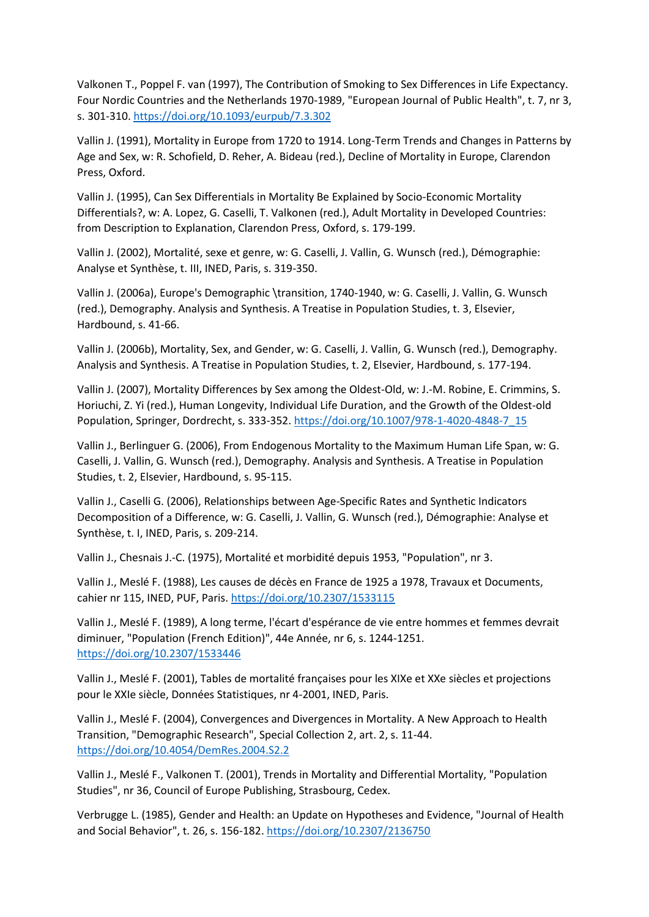Valkonen T., Poppel F. van (1997), The Contribution of Smoking to Sex Differences in Life Expectancy. Four Nordic Countries and the Netherlands 1970-1989, "European Journal of Public Health", t. 7, nr 3, s. 301-310. <https://doi.org/10.1093/eurpub/7.3.302>

Vallin J. (1991), Mortality in Europe from 1720 to 1914. Long-Term Trends and Changes in Patterns by Age and Sex, w: R. Schofield, D. Reher, A. Bideau (red.), Decline of Mortality in Europe, Clarendon Press, Oxford.

Vallin J. (1995), Can Sex Differentials in Mortality Be Explained by Socio-Economic Mortality Differentials?, w: A. Lopez, G. Caselli, T. Valkonen (red.), Adult Mortality in Developed Countries: from Description to Explanation, Clarendon Press, Oxford, s. 179-199.

Vallin J. (2002), Mortalité, sexe et genre, w: G. Caselli, J. Vallin, G. Wunsch (red.), Démographie: Analyse et Synthèse, t. III, INED, Paris, s. 319-350.

Vallin J. (2006a), Europe's Demographic \transition, 1740-1940, w: G. Caselli, J. Vallin, G. Wunsch (red.), Demography. Analysis and Synthesis. A Treatise in Population Studies, t. 3, Elsevier, Hardbound, s. 41-66.

Vallin J. (2006b), Mortality, Sex, and Gender, w: G. Caselli, J. Vallin, G. Wunsch (red.), Demography. Analysis and Synthesis. A Treatise in Population Studies, t. 2, Elsevier, Hardbound, s. 177-194.

Vallin J. (2007), Mortality Differences by Sex among the Oldest-Old, w: J.-M. Robine, E. Crimmins, S. Horiuchi, Z. Yi (red.), Human Longevity, Individual Life Duration, and the Growth of the Oldest-old Population, Springer, Dordrecht, s. 333-352. [https://doi.org/10.1007/978-1-4020-4848-7\\_15](https://doi.org/10.1007/978-1-4020-4848-7_15)

Vallin J., Berlinguer G. (2006), From Endogenous Mortality to the Maximum Human Life Span, w: G. Caselli, J. Vallin, G. Wunsch (red.), Demography. Analysis and Synthesis. A Treatise in Population Studies, t. 2, Elsevier, Hardbound, s. 95-115.

Vallin J., Caselli G. (2006), Relationships between Age-Specific Rates and Synthetic Indicators Decomposition of a Difference, w: G. Caselli, J. Vallin, G. Wunsch (red.), Démographie: Analyse et Synthèse, t. I, INED, Paris, s. 209-214.

Vallin J., Chesnais J.-C. (1975), Mortalité et morbidité depuis 1953, "Population", nr 3.

Vallin J., Meslé F. (1988), Les causes de décès en France de 1925 a 1978, Travaux et Documents, cahier nr 115, INED, PUF, Paris. <https://doi.org/10.2307/1533115>

Vallin J., Meslé F. (1989), A long terme, l'écart d'espérance de vie entre hommes et femmes devrait diminuer, "Population (French Edition)", 44e Année, nr 6, s. 1244-1251. <https://doi.org/10.2307/1533446>

Vallin J., Meslé F. (2001), Tables de mortalité françaises pour les XIXe et XXe siècles et projections pour le XXIe siècle, Données Statistiques, nr 4-2001, INED, Paris.

Vallin J., Meslé F. (2004), Convergences and Divergences in Mortality. A New Approach to Health Transition, "Demographic Research", Special Collection 2, art. 2, s. 11-44. <https://doi.org/10.4054/DemRes.2004.S2.2>

Vallin J., Meslé F., Valkonen T. (2001), Trends in Mortality and Differential Mortality, "Population Studies", nr 36, Council of Europe Publishing, Strasbourg, Cedex.

Verbrugge L. (1985), Gender and Health: an Update on Hypotheses and Evidence, "Journal of Health and Social Behavior", t. 26, s. 156-182. <https://doi.org/10.2307/2136750>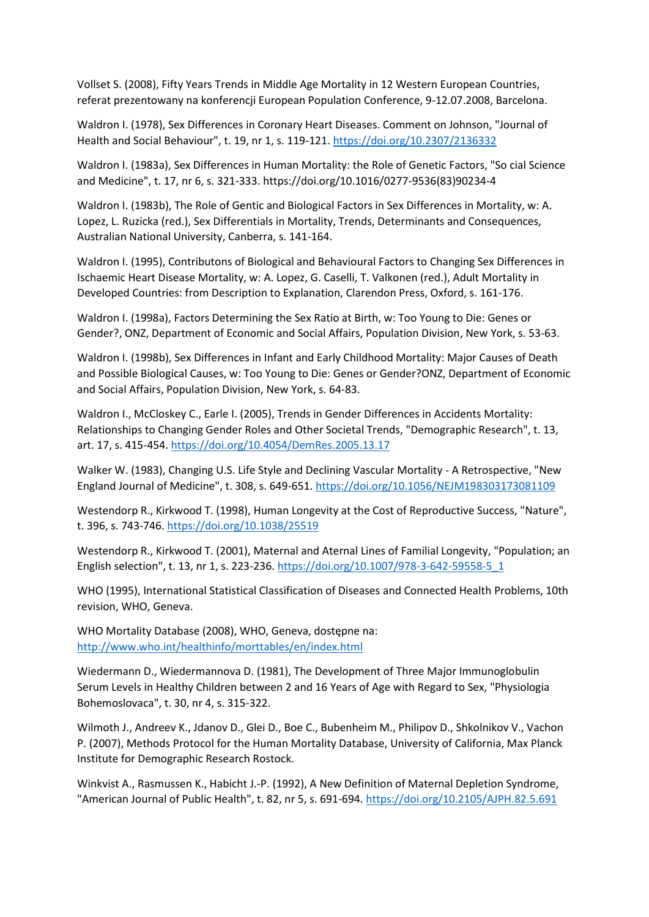Vollset S. (2008), Fifty Years Trends in Middle Age Mortality in 12 Western European Countries, referat prezentowany na konferencji European Population Conference, 9-12.07.2008, Barcelona.

Waldron I. (1978), Sex Differences in Coronary Heart Diseases. Comment on Johnson, "Journal of Health and Social Behaviour", t. 19, nr 1, s. 119-121. <https://doi.org/10.2307/2136332>

Waldron I. (1983a), Sex Differences in Human Mortality: the Role of Genetic Factors, "So cial Science and Medicine", t. 17, nr 6, s. 321-333. https://doi.org/10.1016/0277-9536(83)90234-4

Waldron I. (1983b), The Role of Gentic and Biological Factors in Sex Differences in Mortality, w: A. Lopez, L. Ruzicka (red.), Sex Differentials in Mortality, Trends, Determinants and Consequences, Australian National University, Canberra, s. 141-164.

Waldron I. (1995), Contributons of Biological and Behavioural Factors to Changing Sex Differences in Ischaemic Heart Disease Mortality, w: A. Lopez, G. Caselli, T. Valkonen (red.), Adult Mortality in Developed Countries: from Description to Explanation, Clarendon Press, Oxford, s. 161-176.

Waldron I. (1998a), Factors Determining the Sex Ratio at Birth, w: Too Young to Die: Genes or Gender?, ONZ, Department of Economic and Social Affairs, Population Division, New York, s. 53-63.

Waldron I. (1998b), Sex Differences in Infant and Early Childhood Mortality: Major Causes of Death and Possible Biological Causes, w: Too Young to Die: Genes or Gender?ONZ, Department of Economic and Social Affairs, Population Division, New York, s. 64-83.

Waldron I., McCloskey C., Earle I. (2005), Trends in Gender Differences in Accidents Mortality: Relationships to Changing Gender Roles and Other Societal Trends, "Demographic Research", t. 13, art. 17, s. 415-454. <https://doi.org/10.4054/DemRes.2005.13.17>

Walker W. (1983), Changing U.S. Life Style and Declining Vascular Mortality - A Retrospective, "New England Journal of Medicine", t. 308, s. 649-651. <https://doi.org/10.1056/NEJM198303173081109>

Westendorp R., Kirkwood T. (1998), Human Longevity at the Cost of Reproductive Success, "Nature", t. 396, s. 743-746. <https://doi.org/10.1038/25519>

Westendorp R., Kirkwood T. (2001), Maternal and Aternal Lines of Familial Longevity, "Population; an English selection", t. 13, nr 1, s. 223-236. [https://doi.org/10.1007/978-3-642-59558-5\\_1](https://doi.org/10.1007/978-3-642-59558-5_1)

WHO (1995), International Statistical Classification of Diseases and Connected Health Problems, 10th revision, WHO, Geneva.

WHO Mortality Database (2008), WHO, Geneva, dostępne na: <http://www.who.int/healthinfo/morttables/en/index.html>

Wiedermann D., Wiedermannova D. (1981), The Development of Three Major Immunoglobulin Serum Levels in Healthy Children between 2 and 16 Years of Age with Regard to Sex, "Physiologia Bohemoslovaca", t. 30, nr 4, s. 315-322.

Wilmoth J., Andreev K., Jdanov D., Glei D., Boe C., Bubenheim M., Philipov D., Shkolnikov V., Vachon P. (2007), Methods Protocol for the Human Mortality Database, University of California, Max Planck Institute for Demographic Research Rostock.

Winkvist A., Rasmussen K., Habicht J.-P. (1992), A New Definition of Maternal Depletion Syndrome, "American Journal of Public Health", t. 82, nr 5, s. 691-694. <https://doi.org/10.2105/AJPH.82.5.691>